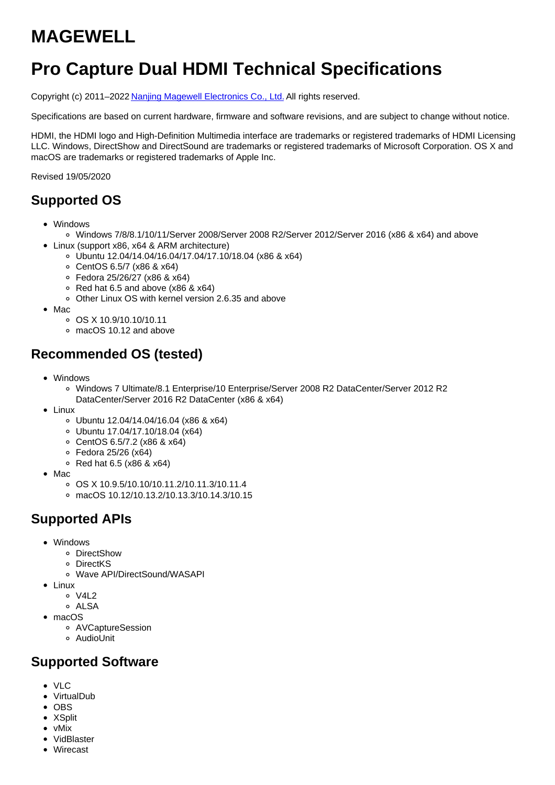# **MAGEWELL**

# **Pro Capture Dual HDMI Technical Specifications**

Copyright (c) 2011–2022 Nanjing Magewell [Electronics](http://www.magewell.com) Co., Ltd. All rights reserved.

Specifications are based on current hardware, firmware and software revisions, and are subject to change without notice.

HDMI, the HDMI logo and High-Definition Multimedia interface are trademarks or registered trademarks of HDMI Licensing LLC. Windows, DirectShow and DirectSound are trademarks or registered trademarks of Microsoft Corporation. OS X and macOS are trademarks or registered trademarks of Apple Inc.

Revised 19/05/2020

## **Supported OS**

- Windows
	- Windows 7/8/8.1/10/11/Server 2008/Server 2008 R2/Server 2012/Server 2016 (x86 & x64) and above
	- Linux (support x86, x64 & ARM architecture)
		- Ubuntu 12.04/14.04/16.04/17.04/17.10/18.04 (x86 & x64)
		- CentOS 6.5/7 (x86 & x64)
		- Fedora 25/26/27 (x86 & x64)
		- $\circ$  Red hat 6.5 and above (x86 & x64)
		- Other Linux OS with kernel version 2.6.35 and above
- $•$  Mac
	- $\circ$  OS X 10.9/10.10/10.11
	- macOS 10.12 and above

## **Recommended OS (tested)**

- Windows
	- Windows 7 Ultimate/8.1 Enterprise/10 Enterprise/Server 2008 R2 DataCenter/Server 2012 R2 DataCenter/Server 2016 R2 DataCenter (x86 & x64)
- Linux
	- Ubuntu 12.04/14.04/16.04 (x86 & x64)
	- Ubuntu 17.04/17.10/18.04 (x64)
	- CentOS 6.5/7.2 (x86 & x64)
	- Fedora 25/26 (x64)
	- $\circ$  Red hat 6.5 (x86 & x64)
- Mac
	- $\circ$  OS X 10.9.5/10.10/10.11.2/10.11.3/10.11.4
	- macOS 10.12/10.13.2/10.13.3/10.14.3/10.15

# **Supported APIs**

- Windows
	- DirectShow
	- DirectKS
	- Wave API/DirectSound/WASAPI
- Linux
	- $0$  V4L2
	- ALSA
- macOS
	- AVCaptureSession
	- AudioUnit

#### **Supported Software**

- VLC
- VirtualDub
- $\bullet$  OBS
- XSplit
- vMix
- VidBlaster
- Wirecast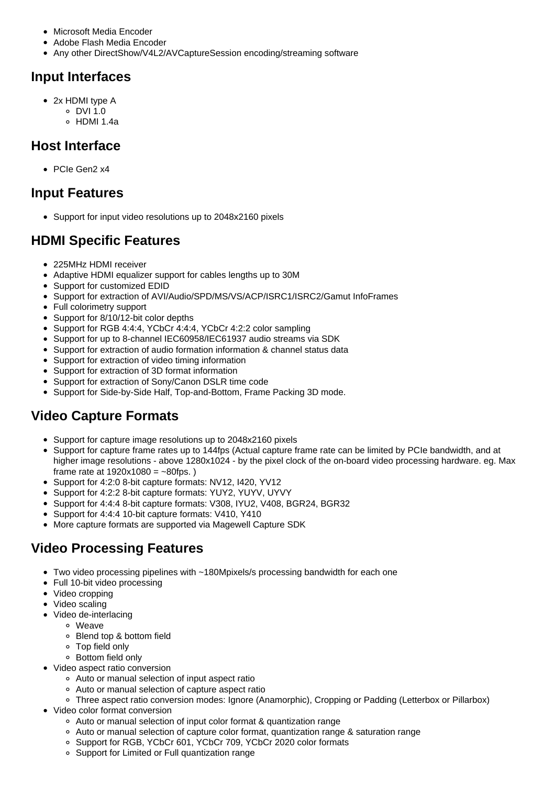- Microsoft Media Encoder
- Adobe Flash Media Encoder
- Any other DirectShow/V4L2/AVCaptureSession encoding/streaming software

## **Input Interfaces**

- 2x HDMI type A
	- $\circ$  DVI 1.0
	- $\circ$  HDMI 1.4a

#### **Host Interface**

• PCIe Gen2 x4

#### **Input Features**

Support for input video resolutions up to 2048x2160 pixels

## **HDMI Specific Features**

- 225MHz HDMI receiver
- Adaptive HDMI equalizer support for cables lengths up to 30M
- Support for customized EDID
- Support for extraction of AVI/Audio/SPD/MS/VS/ACP/ISRC1/ISRC2/Gamut InfoFrames
- Full colorimetry support
- Support for 8/10/12-bit color depths
- Support for RGB 4:4:4, YCbCr 4:4:4, YCbCr 4:2:2 color sampling
- Support for up to 8-channel IEC60958/IEC61937 audio streams via SDK
- Support for extraction of audio formation information & channel status data
- Support for extraction of video timing information
- Support for extraction of 3D format information
- Support for extraction of Sony/Canon DSLR time code
- Support for Side-by-Side Half, Top-and-Bottom, Frame Packing 3D mode.

# **Video Capture Formats**

- Support for capture image resolutions up to 2048x2160 pixels
- Support for capture frame rates up to 144fps (Actual capture frame rate can be limited by PCIe bandwidth, and at higher image resolutions - above 1280x1024 - by the pixel clock of the on-board video processing hardware. eg. Max frame rate at  $1920x1080 = -80$ fps.)
- Support for 4:2:0 8-bit capture formats: NV12, I420, YV12
- Support for 4:2:2 8-bit capture formats: YUY2, YUYV, UYVY
- Support for 4:4:4 8-bit capture formats: V308, IYU2, V408, BGR24, BGR32
- Support for 4:4:4 10-bit capture formats: V410, Y410
- More capture formats are supported via Magewell Capture SDK

# **Video Processing Features**

- Two video processing pipelines with ~180Mpixels/s processing bandwidth for each one
- Full 10-bit video processing
- Video cropping
- Video scaling
- Video de-interlacing
	- Weave
	- Blend top & bottom field
	- Top field only
	- Bottom field only
- Video aspect ratio conversion
	- Auto or manual selection of input aspect ratio
	- Auto or manual selection of capture aspect ratio
	- Three aspect ratio conversion modes: Ignore (Anamorphic), Cropping or Padding (Letterbox or Pillarbox)
- Video color format conversion
	- Auto or manual selection of input color format & quantization range
	- Auto or manual selection of capture color format, quantization range & saturation range
	- o Support for RGB, YCbCr 601, YCbCr 709, YCbCr 2020 color formats
	- Support for Limited or Full quantization range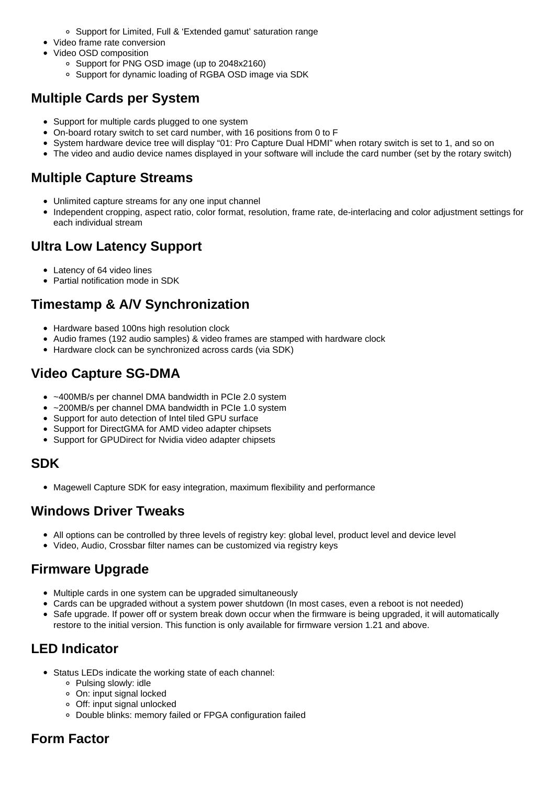- Support for Limited, Full & 'Extended gamut' saturation range
- Video frame rate conversion
- Video OSD composition
	- Support for PNG OSD image (up to 2048x2160)
	- Support for dynamic loading of RGBA OSD image via SDK

## **Multiple Cards per System**

- Support for multiple cards plugged to one system
- On-board rotary switch to set card number, with 16 positions from 0 to F
- System hardware device tree will display "01: Pro Capture Dual HDMI" when rotary switch is set to 1, and so on
- The video and audio device names displayed in your software will include the card number (set by the rotary switch)

#### **Multiple Capture Streams**

- Unlimited capture streams for any one input channel
- Independent cropping, aspect ratio, color format, resolution, frame rate, de-interlacing and color adjustment settings for each individual stream

## **Ultra Low Latency Support**

- Latency of 64 video lines
- Partial notification mode in SDK

# **Timestamp & A/V Synchronization**

- Hardware based 100ns high resolution clock
- Audio frames (192 audio samples) & video frames are stamped with hardware clock
- Hardware clock can be synchronized across cards (via SDK)

## **Video Capture SG-DMA**

- ~400MB/s per channel DMA bandwidth in PCIe 2.0 system
- ~200MB/s per channel DMA bandwidth in PCIe 1.0 system  $\bullet$
- Support for auto detection of Intel tiled GPU surface
- Support for DirectGMA for AMD video adapter chipsets
- Support for GPUDirect for Nvidia video adapter chipsets

#### **SDK**

• Magewell Capture SDK for easy integration, maximum flexibility and performance

## **Windows Driver Tweaks**

- All options can be controlled by three levels of registry key: global level, product level and device level
- Video, Audio, Crossbar filter names can be customized via registry keys

## **Firmware Upgrade**

- Multiple cards in one system can be upgraded simultaneously
- Cards can be upgraded without a system power shutdown (In most cases, even a reboot is not needed)
- Safe upgrade. If power off or system break down occur when the firmware is being upgraded, it will automatically restore to the initial version. This function is only available for firmware version 1.21 and above.

# **LED Indicator**

- Status LEDs indicate the working state of each channel:
	- Pulsing slowly: idle
	- On: input signal locked
	- Off: input signal unlocked
	- Double blinks: memory failed or FPGA configuration failed

# **Form Factor**